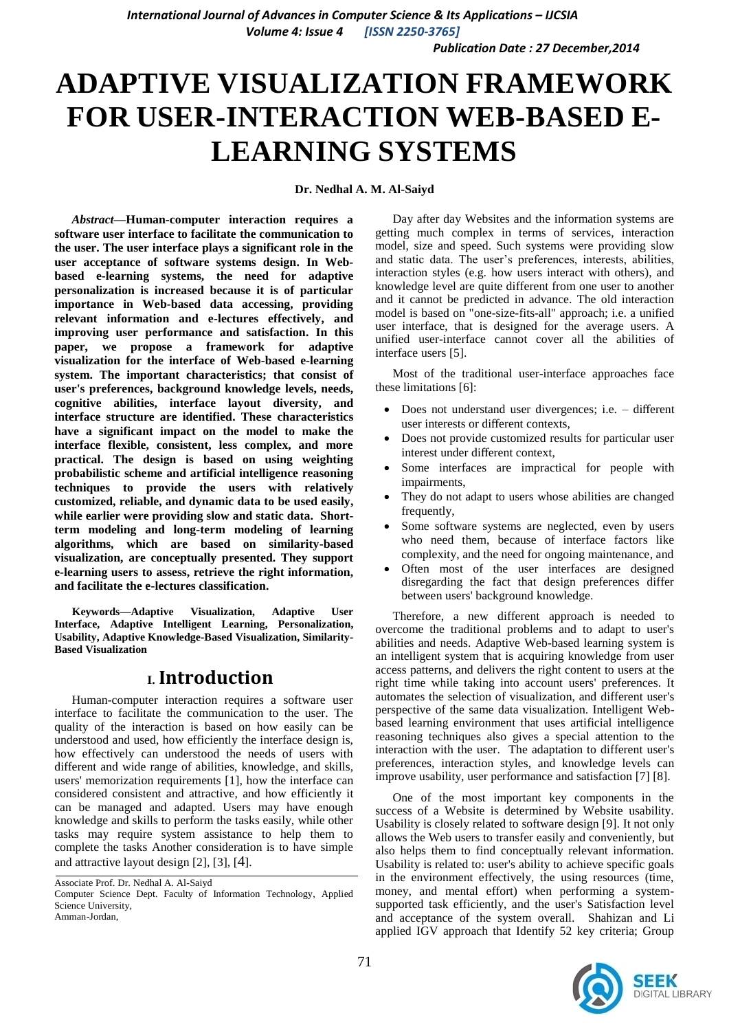*International Journal of Advances in Computer Science & Its Applications – IJCSIA Volume 4: Issue 4 [ISSN 2250-3765]*

*Publication Date : 27 December,2014*

# **ADAPTIVE VISUALIZATION FRAMEWORK FOR USER-INTERACTION WEB-BASED E-LEARNING SYSTEMS**

**Dr. Nedhal A. M. Al-Saiyd**

*Abstract***—Human-computer interaction requires a software user interface to facilitate the communication to the user. The user interface plays a significant role in the user acceptance of software systems design. In Webbased e-learning systems, the need for adaptive personalization is increased because it is of particular importance in Web-based data accessing, providing relevant information and e-lectures effectively, and improving user performance and satisfaction. In this paper, we propose a framework for adaptive visualization for the interface of Web-based e-learning system. The important characteristics; that consist of user's preferences, background knowledge levels, needs, cognitive abilities, interface layout diversity, and interface structure are identified. These characteristics have a significant impact on the model to make the interface flexible, consistent, less complex, and more practical. The design is based on using weighting probabilistic scheme and artificial intelligence reasoning techniques to provide the users with relatively customized, reliable, and dynamic data to be used easily, while earlier were providing slow and static data. Shortterm modeling and long-term modeling of learning algorithms, which are based on similarity-based visualization, are conceptually presented. They support e-learning users to assess, retrieve the right information, and facilitate the e-lectures classification.** 

**Keywords—Adaptive Visualization, Adaptive User Interface, Adaptive Intelligent Learning, Personalization, Usability, Adaptive Knowledge-Based Visualization, Similarity-Based Visualization** 

# **I. Introduction**

Human-computer interaction requires a software user interface to facilitate the communication to the user. The quality of the interaction is based on how easily can be understood and used, how efficiently the interface design is, how effectively can understood the needs of users with different and wide range of abilities, knowledge, and skills, users' memorization requirements [1], how the interface can considered consistent and attractive, and how efficiently it can be managed and adapted. Users may have enough knowledge and skills to perform the tasks easily, while other tasks may require system assistance to help them to complete the tasks Another consideration is to have simple and attractive layout design [2], [3], [4].

Associate Prof. Dr. Nedhal A. Al-Saiyd Computer Science Dept. Faculty of Information Technology, Applied Science University, Amman-Jordan,

Day after day Websites and the information systems are getting much complex in terms of services, interaction model, size and speed. Such systems were providing slow and static data. The user's preferences, interests, abilities, interaction styles (e.g. how users interact with others), and knowledge level are quite different from one user to another and it cannot be predicted in advance. The old interaction model is based on "one-size-fits-all" approach; i.e. a unified user interface, that is designed for the average users. A unified user-interface cannot cover all the abilities of interface users [5].

Most of the traditional user-interface approaches face these limitations [6]:

- Does not understand user divergences; i.e. different user interests or different contexts,
- Does not provide customized results for particular user interest under different context,
- Some interfaces are impractical for people with impairments,
- They do not adapt to users whose abilities are changed frequently,
- Some software systems are neglected, even by users who need them, because of interface factors like complexity, and the need for ongoing maintenance, and
- Often most of the user interfaces are designed disregarding the fact that design preferences differ between users' background knowledge.

Therefore, a new different approach is needed to overcome the traditional problems and to adapt to user's abilities and needs. Adaptive Web-based learning system is an intelligent system that is acquiring knowledge from user access patterns, and delivers the right content to users at the right time while taking into account users' preferences. It automates the selection of visualization, and different user's perspective of the same data visualization. Intelligent Webbased learning environment that uses artificial intelligence reasoning techniques also gives a special attention to the interaction with the user. The adaptation to different user's preferences, interaction styles, and knowledge levels can improve usability, user performance and satisfaction [7] [8].

One of the most important key components in the success of a Website is determined by Website usability. Usability is closely related to software design [9]. It not only allows the Web users to transfer easily and conveniently, but also helps them to find conceptually relevant information. Usability is related to: user's ability to achieve specific goals in the environment effectively, the using resources (time, money, and mental effort) when performing a systemsupported task efficiently, and the user's Satisfaction level and acceptance of the system overall. Shahizan and Li applied IGV approach that Identify 52 key criteria; Group

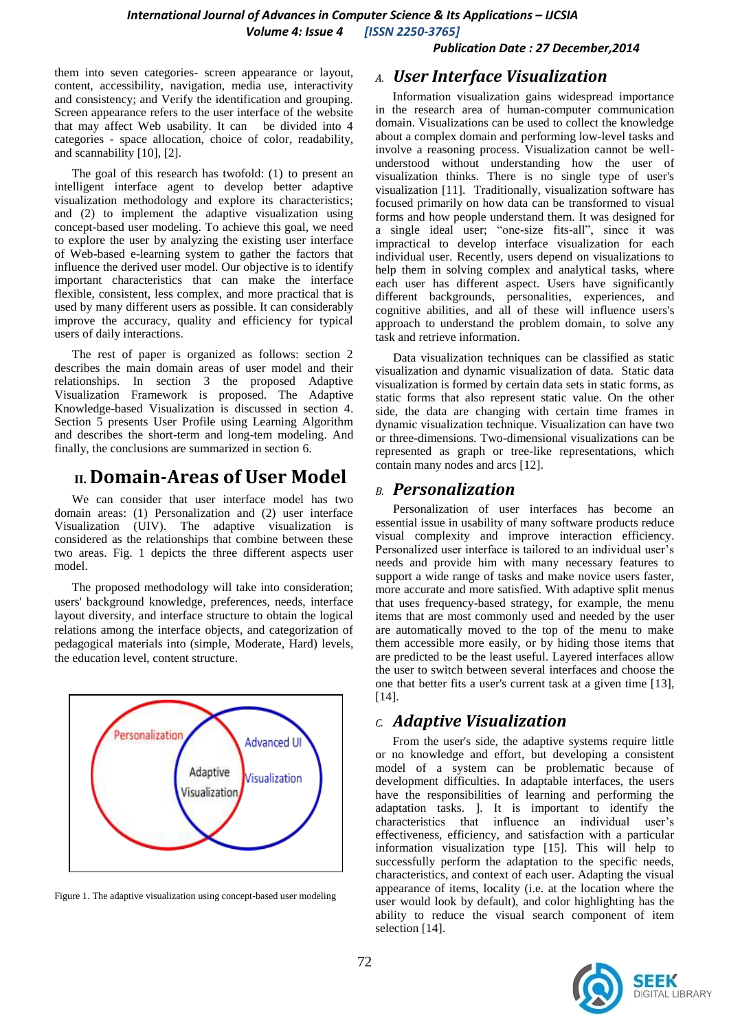*Publication Date : 27 December,2014*

them into seven categories- screen appearance or layout, content, accessibility, navigation, media use, interactivity and consistency; and Verify the identification and grouping. Screen appearance refers to the user interface of the website that may affect Web usability. It can be divided into 4 categories - space allocation, choice of color, readability, and scannability [10], [2].

The goal of this research has twofold: (1) to present an intelligent interface agent to develop better adaptive visualization methodology and explore its characteristics; and (2) to implement the adaptive visualization using concept-based user modeling. To achieve this goal, we need to explore the user by analyzing the existing user interface of Web-based e-learning system to gather the factors that influence the derived user model. Our objective is to identify important characteristics that can make the interface flexible, consistent, less complex, and more practical that is used by many different users as possible. It can considerably improve the accuracy, quality and efficiency for typical users of daily interactions.

The rest of paper is organized as follows: section 2 describes the main domain areas of user model and their relationships. In section 3 the proposed Adaptive Visualization Framework is proposed. The Adaptive Knowledge-based Visualization is discussed in section 4. Section 5 presents User Profile using Learning Algorithm and describes the short-term and long-tem modeling. And finally, the conclusions are summarized in section 6.

# **II. Domain-Areas of User Model**

We can consider that user interface model has two domain areas: (1) Personalization and (2) user interface Visualization (UIV). The adaptive visualization is considered as the relationships that combine between these two areas. Fig. 1 depicts the three different aspects user model.

The proposed methodology will take into consideration; users' background knowledge, preferences, needs, interface layout diversity, and interface structure to obtain the logical relations among the interface objects, and categorization of pedagogical materials into (simple, Moderate, Hard) levels, the education level, content structure.



Figure 1. The adaptive visualization using concept-based user modeling

### *A. User Interface Visualization*

Information visualization gains widespread importance in the research area of human-computer communication domain. Visualizations can be used to collect the knowledge about a complex domain and performing low-level tasks and involve a reasoning process. Visualization cannot be wellunderstood without understanding how the user of visualization thinks. There is no single type of user's visualization [11]. Traditionally, visualization software has focused primarily on how data can be transformed to visual forms and how people understand them. It was designed for a single ideal user; "one-size fits-all", since it was impractical to develop interface visualization for each individual user. Recently, users depend on visualizations to help them in solving complex and analytical tasks, where each user has different aspect. Users have significantly different backgrounds, personalities, experiences, and cognitive abilities, and all of these will influence users's approach to understand the problem domain, to solve any task and retrieve information.

Data visualization techniques can be classified as static visualization and dynamic visualization of data. Static data visualization is formed by certain data sets in static forms, as static forms that also represent static value. On the other side, the data are changing with certain time frames in dynamic visualization technique. Visualization can have two or three-dimensions. Two-dimensional visualizations can be represented as graph or tree-like representations, which contain many nodes and arcs [12].

### *B. Personalization*

Personalization of user interfaces has become an essential issue in usability of many software products reduce visual complexity and improve interaction efficiency. Personalized user interface is tailored to an individual user's needs and provide him with many necessary features to support a wide range of tasks and make novice users faster, more accurate and more satisfied. With adaptive split menus that uses frequency-based strategy, for example, the menu items that are most commonly used and needed by the user are automatically moved to the top of the menu to make them accessible more easily, or by hiding those items that are predicted to be the least useful. Layered interfaces allow the user to switch between several interfaces and choose the one that better fits a user's current task at a given time [13], [14].

## *C. Adaptive Visualization*

From the user's side, the adaptive systems require little or no knowledge and effort, but developing a consistent model of a system can be problematic because of development difficulties. In adaptable interfaces, the users have the responsibilities of learning and performing the adaptation tasks. ]. It is important to identify the characteristics that influence an individual user's effectiveness, efficiency, and satisfaction with a particular information visualization type [15]. This will help to successfully perform the adaptation to the specific needs, characteristics, and context of each user. Adapting the visual appearance of items, locality (i.e. at the location where the user would look by default), and color highlighting has the ability to reduce the visual search component of item selection [14].

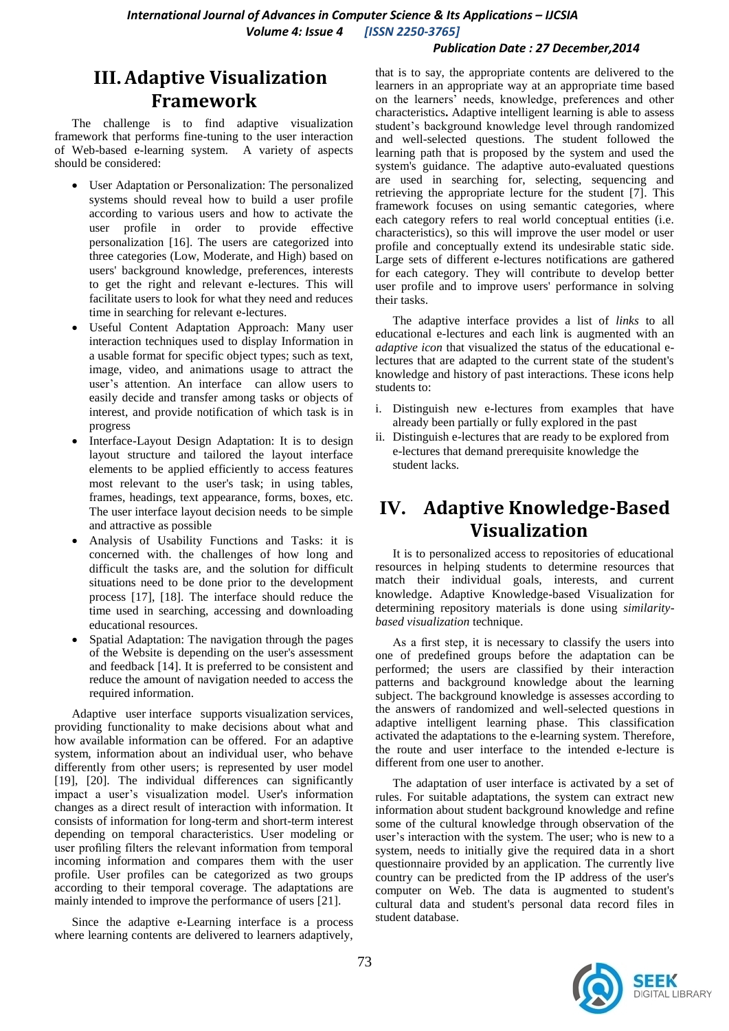#### *Publication Date : 27 December,2014*

# **III.Adaptive Visualization Framework**

The challenge is to find adaptive visualization framework that performs fine-tuning to the user interaction of Web-based e-learning system. A variety of aspects should be considered:

- User Adaptation or Personalization: The personalized systems should reveal how to build a user profile according to various users and how to activate the user profile in order to provide effective personalization [16]. The users are categorized into three categories (Low, Moderate, and High) based on users' background knowledge, preferences, interests to get the right and relevant e-lectures. This will facilitate users to look for what they need and reduces time in searching for relevant e-lectures.
- Useful Content Adaptation Approach: Many user interaction techniques used to display Information in a usable format for specific object types; such as text, image, video, and animations usage to attract the user's attention. An interface can allow users to easily decide and transfer among tasks or objects of interest, and provide notification of which task is in progress
- Interface-Layout Design Adaptation: It is to design layout structure and tailored the layout interface elements to be applied efficiently to access features most relevant to the user's task; in using tables, frames, headings, text appearance, forms, boxes, etc. The user interface layout decision needs to be simple and attractive as possible
- Analysis of Usability Functions and Tasks: it is concerned with. the challenges of how long and difficult the tasks are, and the solution for difficult situations need to be done prior to the development process [17], [18]. The interface should reduce the time used in searching, accessing and downloading educational resources.
- Spatial Adaptation: The navigation through the pages of the Website is depending on the user's assessment and feedback [14]. It is preferred to be consistent and reduce the amount of navigation needed to access the required information.

Adaptive user interface supports visualization services, providing functionality to make decisions about what and how available information can be offered. For an adaptive system, information about an individual user, who behave differently from other users; is represented by user model [19], [20]. The individual differences can significantly impact a user's visualization model. User's information changes as a direct result of interaction with information. It consists of information for long-term and short-term interest depending on temporal characteristics. User modeling or user profiling filters the relevant information from temporal incoming information and compares them with the user profile. User profiles can be categorized as two groups according to their temporal coverage. The adaptations are mainly intended to improve the performance of users [21].

Since the adaptive e-Learning interface is a process where learning contents are delivered to learners adaptively,

that is to say, the appropriate contents are delivered to the learners in an appropriate way at an appropriate time based on the learners' needs, knowledge, preferences and other characteristics**.** Adaptive intelligent learning is able to assess student's background knowledge level through randomized and well-selected questions. The student followed the learning path that is proposed by the system and used the system's guidance. The adaptive auto-evaluated questions are used in searching for, selecting, sequencing and retrieving the appropriate lecture for the student [7]. This framework focuses on using semantic categories, where each category refers to real world conceptual entities (i.e. characteristics), so this will improve the user model or user profile and conceptually extend its undesirable static side. Large sets of different e-lectures notifications are gathered for each category. They will contribute to develop better user profile and to improve users' performance in solving their tasks.

The adaptive interface provides a list of *links* to all educational e-lectures and each link is augmented with an *adaptive icon* that visualized the status of the educational electures that are adapted to the current state of the student's knowledge and history of past interactions. These icons help students to:

- i. Distinguish new e-lectures from examples that have already been partially or fully explored in the past
- ii. Distinguish e-lectures that are ready to be explored from e-lectures that demand prerequisite knowledge the student lacks.

# **IV. Adaptive Knowledge-Based Visualization**

It is to personalized access to repositories of educational resources in helping students to determine resources that match their individual goals, interests, and current knowledge. Adaptive Knowledge-based Visualization for determining repository materials is done using *similaritybased visualization* technique.

As a first step, it is necessary to classify the users into one of predefined groups before the adaptation can be performed; the users are classified by their interaction patterns and background knowledge about the learning subject. The background knowledge is assesses according to the answers of randomized and well-selected questions in adaptive intelligent learning phase. This classification activated the adaptations to the e-learning system. Therefore, the route and user interface to the intended e-lecture is different from one user to another.

The adaptation of user interface is activated by a set of rules. For suitable adaptations, the system can extract new information about student background knowledge and refine some of the cultural knowledge through observation of the user's interaction with the system. The user; who is new to a system, needs to initially give the required data in a short questionnaire provided by an application. The currently live country can be predicted from the IP address of the user's computer on Web. The data is augmented to student's cultural data and student's personal data record files in student database.

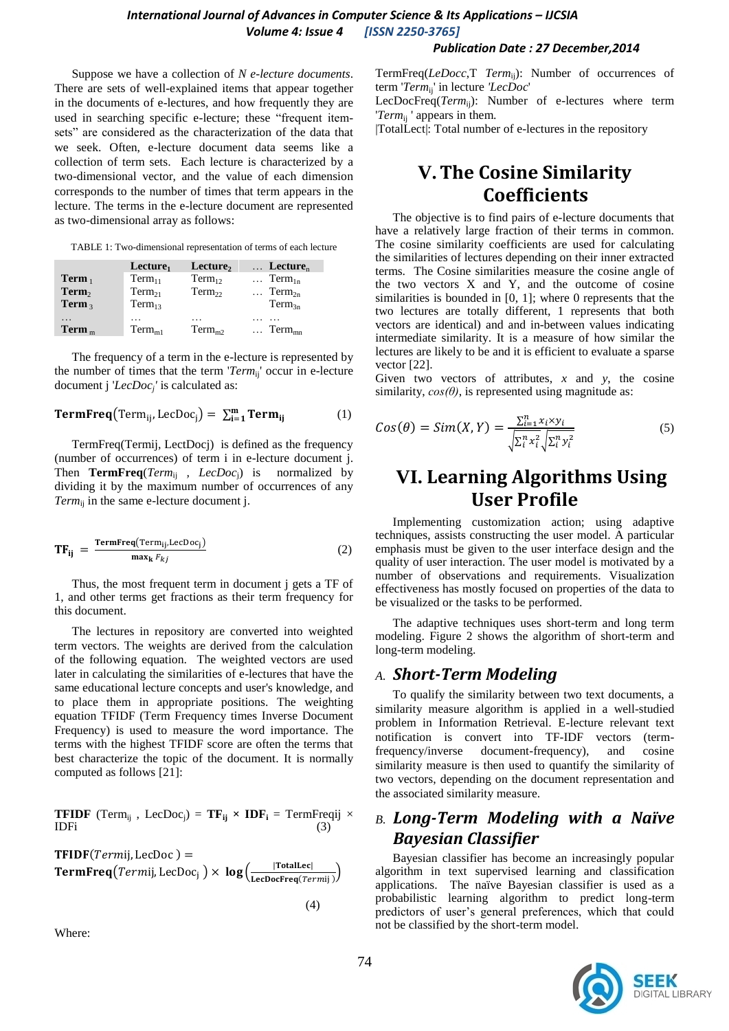### *International Journal of Advances in Computer Science & Its Applications – IJCSIA Volume 4: Issue 4 [ISSN 2250-3765]*

#### *Publication Date : 27 December,2014*

Suppose we have a collection of *N e-lecture documents*. There are sets of well-explained items that appear together in the documents of e-lectures, and how frequently they are used in searching specific e-lecture; these "frequent itemsets" are considered as the characterization of the data that we seek. Often, e-lecture document data seems like a collection of term sets. Each lecture is characterized by a two-dimensional vector, and the value of each dimension corresponds to the number of times that term appears in the lecture. The terms in the e-lecture document are represented as two-dimensional array as follows:

TABLE 1: Two-dimensional representation of terms of each lecture

|                   | $L$ ecture <sub>1</sub> | Lecture,           | $\ldots$ Lecture <sub>n</sub> |
|-------------------|-------------------------|--------------------|-------------------------------|
| $Term_1$          | $Term_{11}$             | $Term_{12}$        | $\ldots$ Term <sub>1n</sub>   |
| Term <sub>2</sub> | $Term_{21}$             | Term <sub>22</sub> | $Term_{2n}$                   |
| Term $\alpha$     | $Term_{13}$             |                    | $Term_{3n}$                   |
| .                 | $\ddotsc$               | .                  |                               |
| $Term_m$          | $Term_{m1}$             | $Term_{m2}$        | $\ldots$ Term <sub>mn</sub>   |

The frequency of a term in the e-lecture is represented by the number of times that the term '*Term*ij ' occur in e-lecture document j '*LecDoc<sup>j</sup> '* is calculated as:

**TermFreq**(Term<sub>ij</sub>, LecDoc<sub>j</sub>) = 
$$
\sum_{i=1}^{m} \text{Term}_{ij}
$$
 (1)

TermFreq(Termij, LectDocj) is defined as the frequency (number of occurrences) of term i in e-lecture document j. Then **TermFreq**(*Term*ij *, LecDoc*j) is normalized by dividing it by the maximum number of occurrences of any *Term*ij in the same e-lecture document j.

$$
TF_{ij} = \frac{\text{TermFreq}(\text{Term}_{ij} \text{LecDoc}_j)}{\max_k F_{kj}}
$$
 (2)

Thus, the most frequent term in document j gets a TF of 1, and other terms get fractions as their term frequency for this document.

The lectures in repository are converted into weighted term vectors. The weights are derived from the calculation of the following equation. The weighted vectors are used later in calculating the similarities of e-lectures that have the same educational lecture concepts and user's knowledge, and to place them in appropriate positions. The weighting equation TFIDF (Term Frequency times Inverse Document Frequency) is used to measure the word importance. The terms with the highest TFIDF score are often the terms that best characterize the topic of the document. It is normally computed as follows [21]:

**TFIDF** (Term<sub>ij</sub>, LecDoc<sub>j</sub>) =  $\mathbf{TF}_{ij} \times \mathbf{IDF}_i$  = TermFreqij × IDF<sub>i</sub> (3)  $IDFi$  (3)

**TFIDF**( $Termi$ , LecDoc) = **TermFreq**(*Termij*, LecDoc<sub>i</sub>)  $\times$  log( $\frac{|\text{TotalLet}|}{|\text{LocalSet}|}$  $\frac{|\text{toaizer}|}{|\text{LecDocFreq}(Termij)|}$ 

(4)

Where:

TermFreq(*LeDocc*,T *Term*ij): Number of occurrences of term '*Term*ij' in lecture *'LecDoc*'

LecDocFreq(*Term*ij): Number of e-lectures where term '*Term*ij ' appears in them.

|TotalLect|: Total number of e-lectures in the repository

# **V.The Cosine Similarity Coefficients**

The objective is to find pairs of e-lecture documents that have a relatively large fraction of their terms in common. The cosine similarity coefficients are used for calculating the similarities of lectures depending on their inner extracted terms. The Cosine similarities measure the cosine angle of the two vectors X and Y, and the outcome of cosine similarities is bounded in [0, 1]; where 0 represents that the two lectures are totally different, 1 represents that both vectors are identical) and and in-between values indicating intermediate similarity. It is a measure of how similar the lectures are likely to be and it is efficient to evaluate a sparse vector [22].

Given two vectors of attributes, *x* and *y*, the cosine similarity, *cos(θ)*, is represented using magnitude as:

$$
Cos(\theta) = Sim(X, Y) = \frac{\sum_{i=1}^{n} x_i \times y_i}{\sqrt{\sum_{i=1}^{n} x_i^2} \sqrt{\sum_{i=1}^{n} y_i^2}}
$$
(5)

# **VI. Learning Algorithms Using User Profile**

Implementing customization action; using adaptive techniques, assists constructing the user model. A particular emphasis must be given to the user interface design and the quality of user interaction. The user model is motivated by a number of observations and requirements. Visualization effectiveness has mostly focused on properties of the data to be visualized or the tasks to be performed.

The adaptive techniques uses short-term and long term modeling. Figure 2 shows the algorithm of short-term and long-term modeling.

#### *A. Short-Term Modeling*

To qualify the similarity between two text documents, a similarity measure algorithm is applied in a well-studied problem in Information Retrieval. E-lecture relevant text notification is convert into TF-IDF vectors (termfrequency/inverse document-frequency), and cosine similarity measure is then used to quantify the similarity of two vectors, depending on the document representation and the associated similarity measure.

# *B. Long-Term Modeling with a Naïve Bayesian Classifier*

Bayesian classifier has become an increasingly popular algorithm in text supervised learning and classification applications. The naïve Bayesian classifier is used as a probabilistic learning algorithm to predict long-term predictors of user's general preferences, which that could not be classified by the short-term model.

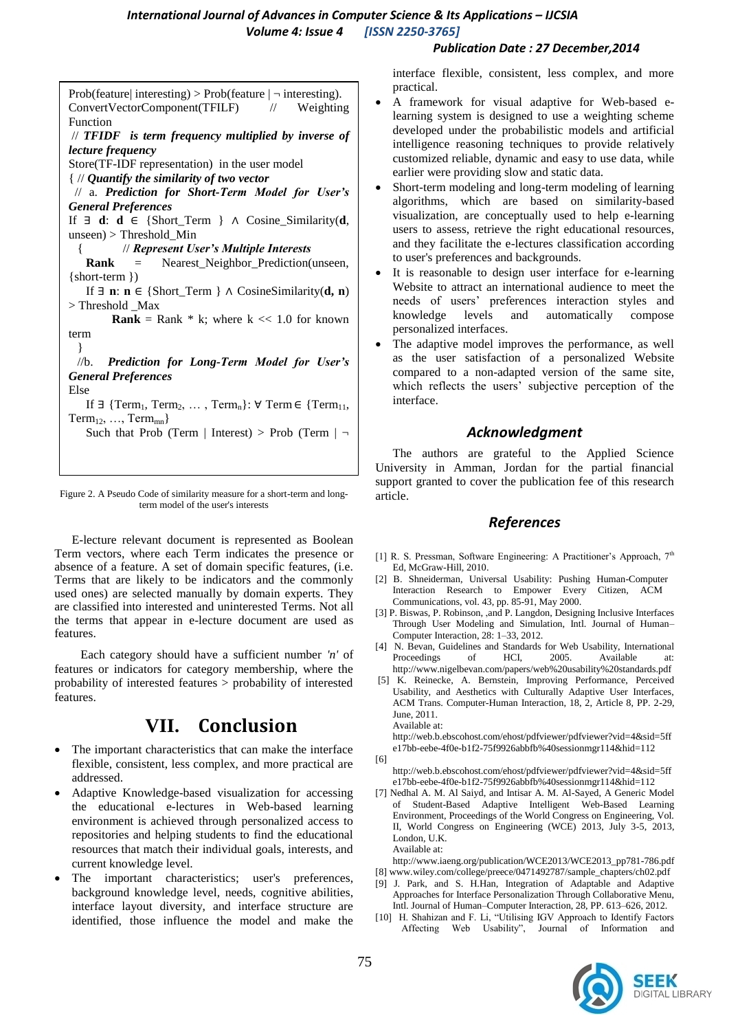#### *Publication Date : 27 December,2014*

Prob(feature| interesting) > Prob(feature  $| \neg$  interesting). ConvertVectorComponent(TFILF) // Weighting Function // *TFIDF is term frequency multiplied by inverse of lecture frequency* Store(TF-IDF representation) in the user model { // *Quantify the similarity of two vector* // a. *Prediction for Short-Term Model for User's General Preferences* If ∃ **d**: **d** ∈ {Short\_Term } ∧ Cosine\_Similarity(**d**, unseen) > Threshold\_Min { // *Represent User's Multiple Interests* **Rank** = Nearest Neighbor Prediction(unseen, {short-term }) If  $\exists$  **n**: **n** ∈ {Short Term }  $\land$  CosineSimilarity(**d, n**) > Threshold \_Max **Rank** = Rank  $*$  k; where  $k \ll 1.0$  for known term } //b. *Prediction for Long-Term Model for User's General Preferences* Else If  $\exists$  {Term<sub>1</sub>, Term<sub>2</sub>, ..., Term<sub>n</sub>}:  $\forall$  Term  $\in$  {Term<sub>11</sub>,  $Term_{12}, \ldots, Term_{mn}$ Such that Prob (Term | Interest) > Prob (Term |  $\neg$ 

Figure 2. A Pseudo Code of similarity measure for a short-term and longterm model of the user's interests

E-lecture relevant document is represented as Boolean Term vectors, where each Term indicates the presence or absence of a feature. A set of domain specific features, (i.e. Terms that are likely to be indicators and the commonly used ones) are selected manually by domain experts. They are classified into interested and uninterested Terms. Not all the terms that appear in e-lecture document are used as features.

Each category should have a sufficient number *'n'* of features or indicators for category membership, where the probability of interested features > probability of interested features.

# **VII. Conclusion**

- The important characteristics that can make the interface flexible, consistent, less complex, and more practical are addressed.
- Adaptive Knowledge-based visualization for accessing the educational e-lectures in Web-based learning environment is achieved through personalized access to repositories and helping students to find the educational resources that match their individual goals, interests, and current knowledge level.
- The important characteristics; user's preferences, background knowledge level, needs, cognitive abilities, interface layout diversity, and interface structure are identified, those influence the model and make the

interface flexible, consistent, less complex, and more practical.

- A framework for visual adaptive for Web-based elearning system is designed to use a weighting scheme developed under the probabilistic models and artificial intelligence reasoning techniques to provide relatively customized reliable, dynamic and easy to use data, while earlier were providing slow and static data.
- Short-term modeling and long-term modeling of learning algorithms, which are based on similarity-based visualization, are conceptually used to help e-learning users to assess, retrieve the right educational resources, and they facilitate the e-lectures classification according to user's preferences and backgrounds.
- It is reasonable to design user interface for e-learning Website to attract an international audience to meet the needs of users' preferences interaction styles and knowledge levels and automatically compose personalized interfaces.
- The adaptive model improves the performance, as well as the user satisfaction of a personalized Website compared to a non-adapted version of the same site, which reflects the users' subjective perception of the interface.

## *Acknowledgment*

The authors are grateful to the Applied Science University in Amman, Jordan for the partial financial support granted to cover the publication fee of this research article.

### *References*

- [1] R. S. Pressman, Software Engineering: A Practitioner's Approach,  $7<sup>th</sup>$ Ed, McGraw-Hill, 2010.
- [2] B. Shneiderman, Universal Usability: Pushing Human-Computer Interaction Research to Empower Every Citizen, ACM Communications, vol. 43, pp. 85-91, May 2000.
- [3] P. Biswas, P. Robinson, ,and P. Langdon, Designing Inclusive Interfaces Through User Modeling and Simulation, Intl. Journal of Human– Computer Interaction, 28: 1–33, 2012.
- [4] N. Bevan, Guidelines and Standards for Web Usability, International Proceedings of HCI, 2005. Available at: http://www.nigelbevan.com/papers/web%20usability%20standards.pdf
- [5] K. Reinecke, A. Bernstein, Improving Performance, Perceived Usability, and Aesthetics with Culturally Adaptive User Interfaces, ACM Trans. Computer-Human Interaction, 18, 2, Article 8, PP. 2-29, June, 2011. Available at:

http://web.b.ebscohost.com/ehost/pdfviewer/pdfviewer?vid=4&sid=5ff e17bb-eebe-4f0e-b1f2-75f9926abbfb%40sessionmgr114&hid=112

- [6] http://web.b.ebscohost.com/ehost/pdfviewer/pdfviewer?vid=4&sid=5ff e17bb-eebe-4f0e-b1f2-75f9926abbfb%40sessionmgr114&hid=112
- [7] Nedhal A. M. Al Saiyd, and Intisar A. M. Al-Sayed, A Generic Model of Student-Based Adaptive Intelligent Web-Based Learning Environment, Proceedings of the World Congress on Engineering, Vol. II, World Congress on Engineering (WCE) 2013, July 3-5, 2013, London, U.K. Available at:

http://www.iaeng.org/publication/WCE2013/WCE2013\_pp781-786.pdf [8] www.wiley.com/college/preece/0471492787/sample\_chapters/ch02.pdf

- [9] J. Park, and S. H.Han, Integration of Adaptable and Adaptive Approaches for Interface Personalization Through Collaborative Menu, Intl. Journal of Human–Computer Interaction, 28, PP. 613–626, 2012.
- [10] H. Shahizan and F. Li, "Utilising IGV Approach to Identify Factors Affecting Web Usability", Journal of Information and